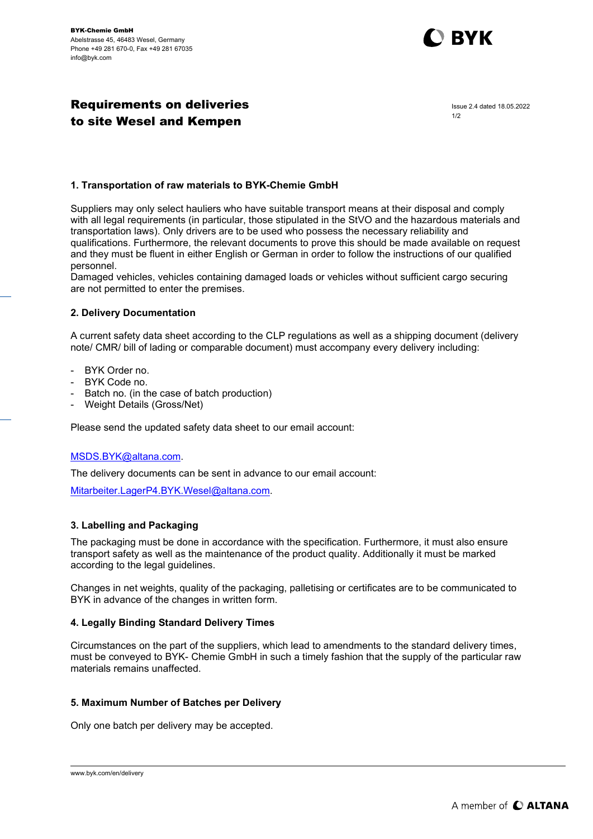

# Requirements on deliveries to site Wesel and Kempen

Issue 2.4 dated 18.05.2022 1/2

# 1. Transportation of raw materials to BYK-Chemie GmbH

Suppliers may only select hauliers who have suitable transport means at their disposal and comply with all legal requirements (in particular, those stipulated in the StVO and the hazardous materials and transportation laws). Only drivers are to be used who possess the necessary reliability and qualifications. Furthermore, the relevant documents to prove this should be made available on request and they must be fluent in either English or German in order to follow the instructions of our qualified personnel.

Damaged vehicles, vehicles containing damaged loads or vehicles without sufficient cargo securing are not permitted to enter the premises.

#### 2. Delivery Documentation

A current safety data sheet according to the CLP regulations as well as a shipping document (delivery note/ CMR/ bill of lading or comparable document) must accompany every delivery including:

- BYK Order no.
- BYK Code no.
- Batch no. (in the case of batch production)
- Weight Details (Gross/Net)

Please send the updated safety data sheet to our email account:

### MSDS.BYK@altana.com.

The delivery documents can be sent in advance to our email account:

Mitarbeiter.LagerP4.BYK.Wesel@altana.com.

### 3. Labelling and Packaging

The packaging must be done in accordance with the specification. Furthermore, it must also ensure transport safety as well as the maintenance of the product quality. Additionally it must be marked according to the legal guidelines.

Changes in net weights, quality of the packaging, palletising or certificates are to be communicated to BYK in advance of the changes in written form.

### 4. Legally Binding Standard Delivery Times

Circumstances on the part of the suppliers, which lead to amendments to the standard delivery times, must be conveyed to BYK- Chemie GmbH in such a timely fashion that the supply of the particular raw materials remains unaffected.

### 5. Maximum Number of Batches per Delivery

Only one batch per delivery may be accepted.